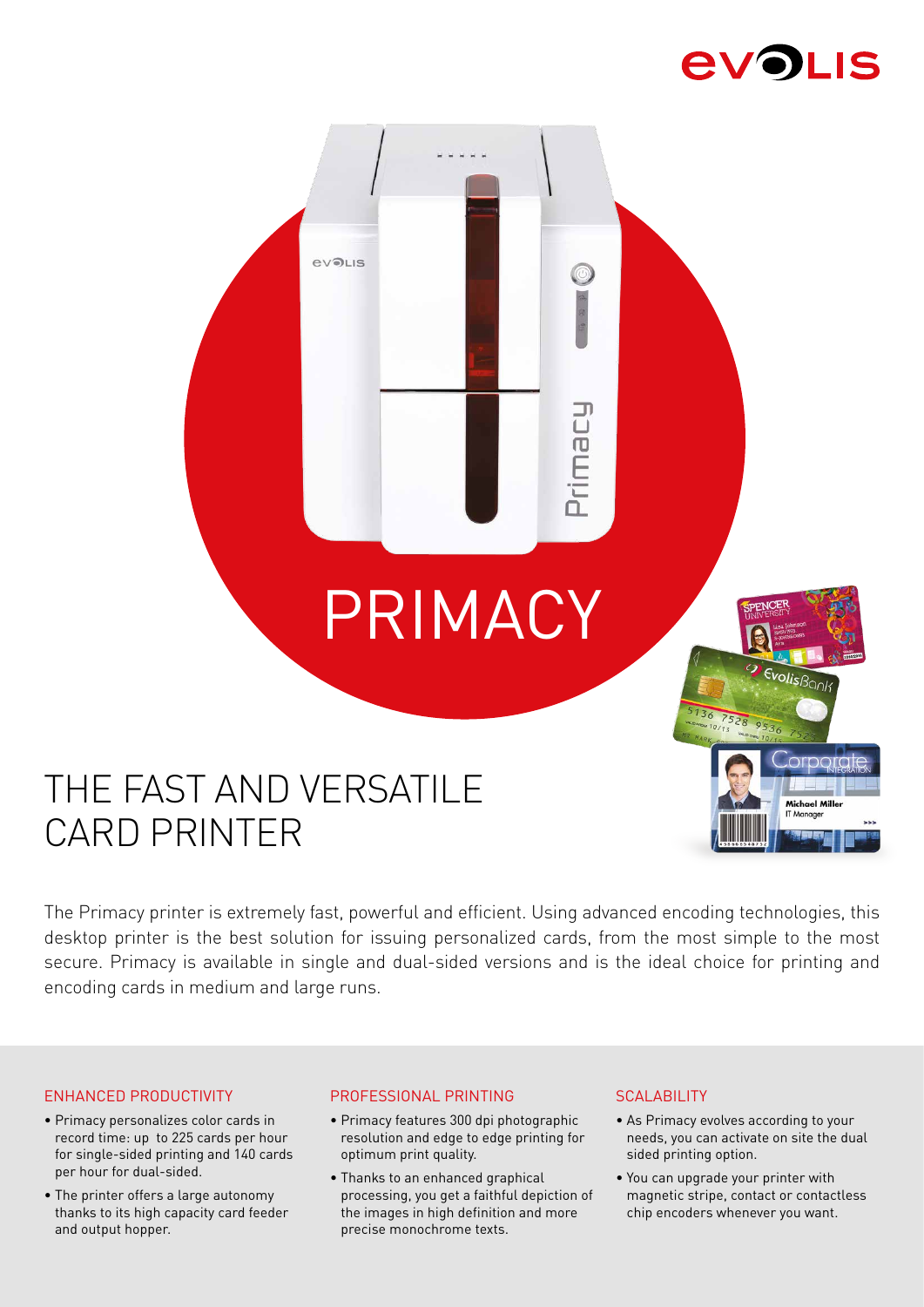

EvolisBon

**Michael Mille** 

# PRIMACY

Primacy

# THE FAST AND VERSATILE CARD PRINTER

**evoLIS** 

The Primacy printer is extremely fast, powerful and efficient. Using advanced encoding technologies, this desktop printer is the best solution for issuing personalized cards, from the most simple to the most secure. Primacy is available in single and dual-sided versions and is the ideal choice for printing and encoding cards in medium and large runs.

## ENHANCED PRODUCTIVITY

- Primacy personalizes color cards in record time: up to 225 cards per hour for single-sided printing and 140 cards per hour for dual-sided.
- The printer offers a large autonomy thanks to its high capacity card feeder and output hopper.

## PROFESSIONAL PRINTING

- Primacy features 300 dpi photographic resolution and edge to edge printing for optimum print quality.
- Thanks to an enhanced graphical processing, you get a faithful depiction of the images in high definition and more precise monochrome texts.

### **SCALABILITY**

- As Primacy evolves according to your needs, you can activate on site the dual sided printing option.
- You can upgrade your printer with magnetic stripe, contact or contactless chip encoders whenever you want.